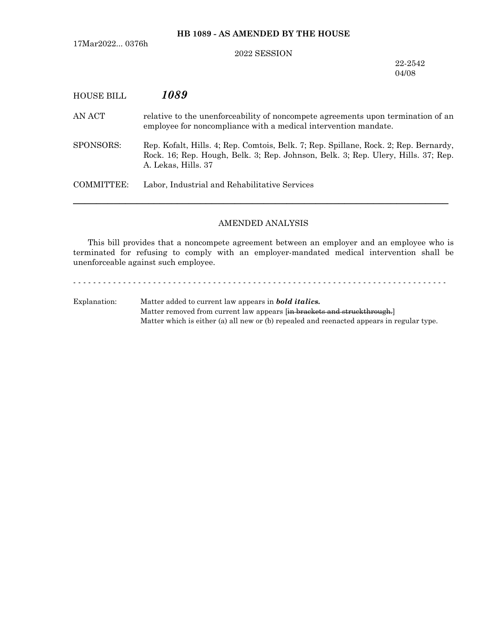17Mar2022... 0376h

## **HB 1089 - AS AMENDED BY THE HOUSE**

## 2022 SESSION

22-2542 04/08

| HOUSE BILL | 1089                                                                                                                                                                                             |
|------------|--------------------------------------------------------------------------------------------------------------------------------------------------------------------------------------------------|
| AN ACT     | relative to the unenforceability of noncompete agreements upon termination of an<br>employee for noncompliance with a medical intervention mandate.                                              |
| SPONSORS:  | Rep. Kofalt, Hills. 4; Rep. Comtois, Belk. 7; Rep. Spillane, Rock. 2; Rep. Bernardy,<br>Rock. 16; Rep. Hough, Belk. 3; Rep. Johnson, Belk. 3; Rep. Ulery, Hills. 37; Rep.<br>A. Lekas, Hills. 37 |
| COMMITTEE: | Labor, Industrial and Rehabilitative Services                                                                                                                                                    |
|            |                                                                                                                                                                                                  |

## AMENDED ANALYSIS

─────────────────────────────────────────────────────────────────

This bill provides that a noncompete agreement between an employer and an employee who is terminated for refusing to comply with an employer-mandated medical intervention shall be unenforceable against such employee.

- - - - - - - - - - - - - - - - - - - - - - - - - - - - - - - - - - - - - - - - - - - - - - - - - - - - - - - - - - - - - - - - - - - - - - - - - - -

Explanation: Matter added to current law appears in *bold italics.* Matter removed from current law appears [in brackets and struckthrough.] Matter which is either (a) all new or (b) repealed and reenacted appears in regular type.